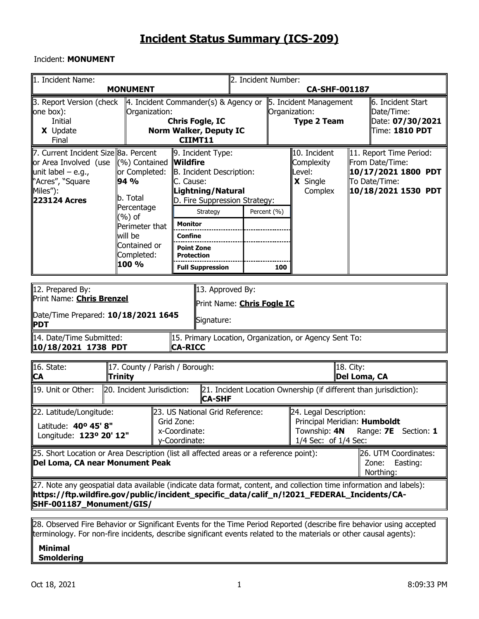#### Incident: **MONUMENT**

| 1. Incident Name:                                                                                                                                                                                                                               | <b>MONUMENT</b>                                                                                                                                |                                                                                                     |                                                                                                                                            | 2. Incident Number: |     | <b>CA-SHF-001187</b>                                                                           |                                    |                                                                                                           |
|-------------------------------------------------------------------------------------------------------------------------------------------------------------------------------------------------------------------------------------------------|------------------------------------------------------------------------------------------------------------------------------------------------|-----------------------------------------------------------------------------------------------------|--------------------------------------------------------------------------------------------------------------------------------------------|---------------------|-----|------------------------------------------------------------------------------------------------|------------------------------------|-----------------------------------------------------------------------------------------------------------|
| 3. Report Version (check<br>one box):<br>Initial<br>X Update<br>Final                                                                                                                                                                           | 4. Incident Commander(s) & Agency or<br>Organization:                                                                                          | <b>Chris Fogle, IC</b><br>CIIMT11                                                                   | Norm Walker, Deputy IC                                                                                                                     |                     |     | 5. Incident Management<br>Organization:<br><b>Type 2 Team</b>                                  |                                    | 6. Incident Start<br>Date/Time:<br>Date: 07/30/2021<br>Time: 1810 PDT                                     |
| 7. Current Incident Size 8a. Percent<br>or Area Involved (use<br>unit label $-$ e.g.,<br>"Acres", "Square<br>Miles"):<br><b>223124 Acres</b>                                                                                                    | (%) Contained<br>or Completed:<br>94 %<br>b. Total<br>Percentage<br>(%) of<br>Perimeter that<br>will be<br>Contained or<br>Completed:<br>100 % | <b>Wildfire</b><br>C. Cause:<br><b>Monitor</b><br><b>Confine</b><br><b>Point Zone</b><br>Protection | 9. Incident Type:<br>B. Incident Description:<br>Lightning/Natural<br>D. Fire Suppression Strategy:<br>Strategy<br><b>Full Suppression</b> | Percent (%)         | 100 | 10. Incident<br>Complexity<br>Level:<br>X Single<br>Complex                                    |                                    | 11. Report Time Period:<br>From Date/Time:<br>10/17/2021 1800 PDT<br>To Date/Time:<br>10/18/2021 1530 PDT |
| 12. Prepared By:<br>Print Name: <b>Chris Brenzel</b><br>Date/Time Prepared: 10/18/2021 1645<br><b>PDT</b>                                                                                                                                       |                                                                                                                                                |                                                                                                     | 13. Approved By:<br>Print Name: <b>Chris Fogle IC</b><br>Signature:                                                                        |                     |     |                                                                                                |                                    |                                                                                                           |
| 14. Date/Time Submitted:<br>10/18/2021 1738 PDT                                                                                                                                                                                                 |                                                                                                                                                | <b>CA-RICC</b>                                                                                      |                                                                                                                                            |                     |     | 15. Primary Location, Organization, or Agency Sent To:                                         |                                    |                                                                                                           |
| 16. State:<br><b>CA</b>                                                                                                                                                                                                                         | 17. County / Parish / Borough:<br>Trinity                                                                                                      |                                                                                                     |                                                                                                                                            |                     |     |                                                                                                | 18. City:<br>∥Del Lom <u>a, CA</u> |                                                                                                           |
| 19. Unit or Other:                                                                                                                                                                                                                              | 20. Incident Jurisdiction:                                                                                                                     |                                                                                                     | <b>CA-SHF</b>                                                                                                                              |                     |     | 21. Incident Location Ownership (if different than jurisdiction):                              |                                    |                                                                                                           |
| 22. Latitude/Longitude:<br>Latitude: 40° 45' 8"<br>Longitude: 123º 20' 12"                                                                                                                                                                      |                                                                                                                                                | Grid Zone:<br>x-Coordinate:<br>y-Coordinate:                                                        | 23. US National Grid Reference:                                                                                                            |                     |     | 24. Legal Description:<br>Principal Meridian: Humboldt<br>Township: 4N<br>1/4 Sec: of 1/4 Sec: |                                    | Range: <b>7E</b> Section: 1                                                                               |
| [25. Short Location or Area Description (list all affected areas or a reference point):<br>Del Loma, CA near Monument Peak                                                                                                                      |                                                                                                                                                |                                                                                                     |                                                                                                                                            |                     |     |                                                                                                |                                    | 26. UTM Coordinates:<br>Zone:<br>Easting:<br>Northing:                                                    |
| [27. Note any geospatial data available (indicate data format, content, and collection time information and labels):<br>https://ftp.wildfire.gov/public/incident_specific_data/calif_n/!2021_FEDERAL_Incidents/CA- <br>SHF-001187_Monument/GIS/ |                                                                                                                                                |                                                                                                     |                                                                                                                                            |                     |     |                                                                                                |                                    |                                                                                                           |

28. Observed Fire Behavior or Significant Events for the Time Period Reported (describe fire behavior using accepted terminology. For non-fire incidents, describe significant events related to the materials or other causal agents):

#### **Minimal Smoldering**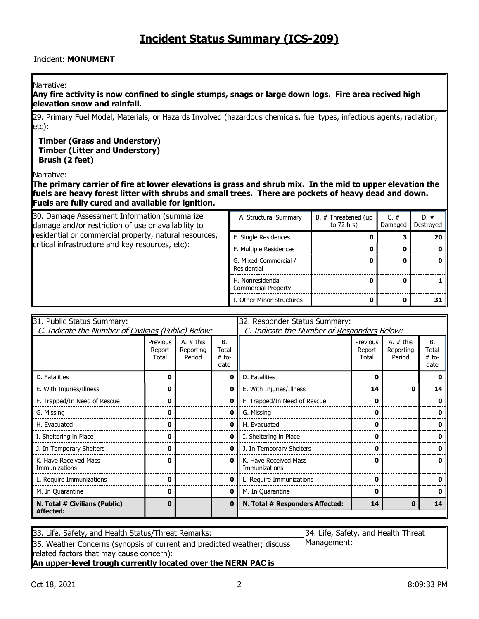#### Incident: **MONUMENT**

#### Narrative:

**Any fire activity is now confined to single stumps, snags or large down logs. Fire area recived high elevation snow and rainfall.**

29. Primary Fuel Model, Materials, or Hazards Involved (hazardous chemicals, fuel types, infectious agents, radiation, etc):

#### **Timber (Grass and Understory) Timber (Litter and Understory) Brush (2 feet)**

Narrative:

**The primary carrier of fire at lower elevations is grass and shrub mix. In the mid to upper elevation the fuels are heavy forest litter with shrubs and small trees. There are pockets of heavy dead and down. Fuels are fully cured and available for ignition.**

| 30. Damage Assessment Information (summarize<br>damage and/or restriction of use or availability to | A. Structural Summary                    | B. # Threatened (up<br>to $72$ hrs) | $C. \#$<br>Damaged | $D.~\#$<br>Destroyed |
|-----------------------------------------------------------------------------------------------------|------------------------------------------|-------------------------------------|--------------------|----------------------|
| residential or commercial property, natural resources,                                              | E. Single Residences                     |                                     |                    | 20                   |
| critical infrastructure and key resources, etc):                                                    | F. Multiple Residences                   |                                     |                    |                      |
|                                                                                                     | G. Mixed Commercial /<br>Residential     |                                     |                    |                      |
|                                                                                                     | H. Nonresidential<br>Commercial Property |                                     |                    |                      |
|                                                                                                     | I. Other Minor Structures                |                                     |                    | 31                   |

| 31. Public Status Summary:                          |                             |                                    |                                       | 32. Responder Status Summary:               |                             |                                    |                                |
|-----------------------------------------------------|-----------------------------|------------------------------------|---------------------------------------|---------------------------------------------|-----------------------------|------------------------------------|--------------------------------|
| C. Indicate the Number of Civilians (Public) Below: |                             |                                    |                                       | C. Indicate the Number of Responders Below: |                             |                                    |                                |
|                                                     | Previous<br>Report<br>Total | A. $#$ this<br>Reporting<br>Period | <b>B.</b><br>Total<br>$#$ to-<br>date |                                             | Previous<br>Report<br>Total | A. $#$ this<br>Reporting<br>Period | В.<br>Total<br>$#$ to-<br>date |
| D. Fatalities                                       | O                           |                                    | 0                                     | D. Fatalities                               | 0                           |                                    |                                |
| E. With Injuries/Illness                            |                             |                                    | 0                                     | E. With Injuries/Illness                    | 14                          |                                    | 14                             |
| F. Trapped/In Need of Rescue                        | 0                           |                                    | 0                                     | F. Trapped/In Need of Rescue                | 0                           |                                    |                                |
| G. Missing                                          | ŋ                           |                                    | 0                                     | G. Missing                                  | 0                           |                                    |                                |
| H. Evacuated                                        | ŋ                           |                                    | 0                                     | H. Evacuated                                | 0                           |                                    |                                |
| I. Sheltering in Place                              | o                           |                                    | 0                                     | I. Sheltering in Place                      | 0                           |                                    |                                |
| J. In Temporary Shelters                            |                             |                                    | 0                                     | J. In Temporary Shelters                    | 0                           |                                    |                                |
| K. Have Received Mass<br>Immunizations              | 0                           |                                    | 0                                     | K. Have Received Mass<br>Immunizations      | 0                           |                                    | 0                              |
| L. Require Immunizations                            | n                           |                                    | 0                                     | L. Require Immunizations                    | 0                           |                                    |                                |
| M. In Quarantine                                    | 0                           |                                    | 0                                     | M. In Quarantine                            | 0                           |                                    |                                |
| N. Total # Civilians (Public)<br>Affected:          | 0                           |                                    | 0                                     | N. Total # Responders Affected:             | 14                          | 0                                  | 14                             |

| 33. Life, Safety, and Health Status/Threat Remarks:                      | 34. Life, Safety, and Health Threat |
|--------------------------------------------------------------------------|-------------------------------------|
| 35. Weather Concerns (synopsis of current and predicted weather; discuss | Management:                         |
| related factors that may cause concern):                                 |                                     |
| An upper-level trough currently located over the NERN PAC is             |                                     |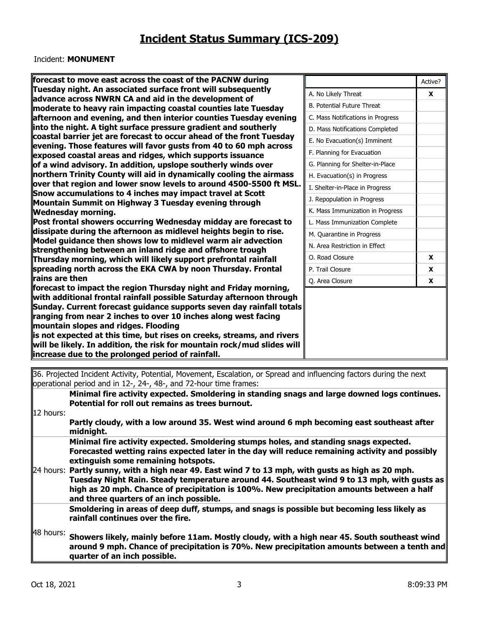#### Incident: **MONUMENT**

| forecast to move east across the coast of the PACNW during                                                                             |                                   | Active?      |
|----------------------------------------------------------------------------------------------------------------------------------------|-----------------------------------|--------------|
| Tuesday night. An associated surface front will subsequently                                                                           | A. No Likely Threat               | $\mathbf{x}$ |
| advance across NWRN CA and aid in the development of<br>moderate to heavy rain impacting coastal counties late Tuesday                 | <b>B. Potential Future Threat</b> |              |
| afternoon and evening, and then interior counties Tuesday evening                                                                      | C. Mass Notifications in Progress |              |
| into the night. A tight surface pressure gradient and southerly                                                                        | D. Mass Notifications Completed   |              |
| coastal barrier jet are forecast to occur ahead of the front Tuesday                                                                   |                                   |              |
| evening. Those features will favor gusts from 40 to 60 mph across                                                                      | E. No Evacuation(s) Imminent      |              |
| exposed coastal areas and ridges, which supports issuance                                                                              | F. Planning for Evacuation        |              |
| of a wind advisory. In addition, upslope southerly winds over                                                                          | G. Planning for Shelter-in-Place  |              |
| northern Trinity County will aid in dynamically cooling the airmass                                                                    | H. Evacuation(s) in Progress      |              |
| over that region and lower snow levels to around 4500-5500 ft MSL.                                                                     | I. Shelter-in-Place in Progress   |              |
| Snow accumulations to 4 inches may impact travel at Scott                                                                              | J. Repopulation in Progress       |              |
| Mountain Summit on Highway 3 Tuesday evening through<br><b>Wednesday morning.</b>                                                      | K. Mass Immunization in Progress  |              |
| Post frontal showers occurring Wednesday midday are forecast to                                                                        | L. Mass Immunization Complete     |              |
| $\parallel$ dissipate during the afternoon as midlevel heights begin to rise.                                                          | M. Quarantine in Progress         |              |
| Model guidance then shows low to midlevel warm air advection                                                                           |                                   |              |
| strengthening between an inland ridge and offshore trough                                                                              | N. Area Restriction in Effect     |              |
| Thursday morning, which will likely support prefrontal rainfall                                                                        | O. Road Closure                   | X            |
| spreading north across the EKA CWA by noon Thursday. Frontal                                                                           | P. Trail Closure                  | X            |
| rains are then                                                                                                                         | Q. Area Closure                   | X            |
| forecast to impact the region Thursday night and Friday morning,                                                                       |                                   |              |
| with additional frontal rainfall possible Saturday afternoon through                                                                   |                                   |              |
| Sunday. Current forecast guidance supports seven day rainfall totals<br>ranging from near 2 inches to over 10 inches along west facing |                                   |              |
| mountain slopes and ridges. Flooding                                                                                                   |                                   |              |
| is not expected at this time, but rises on creeks, streams, and rivers                                                                 |                                   |              |
| will be likely. In addition, the risk for mountain rock/mud slides will                                                                |                                   |              |
| increase due to the prolonged period of rainfall.                                                                                      |                                   |              |
|                                                                                                                                        |                                   |              |

36. Projected Incident Activity, Potential, Movement, Escalation, or Spread and influencing factors during the next operational period and in 12-, 24-, 48-, and 72-hour time frames:

**Minimal fire activity expected. Smoldering in standing snags and large downed logs continues.**  Potential for roll out remains as trees burnout.

12 hours:

**Partly cloudy, with a low around 35. West wind around 6 mph becoming east southeast after midnight.**

**Minimal fire activity expected. Smoldering stumps holes, and standing snags expected. Forecasted wetting rains expected later in the day will reduce remaining activity and possibly extinguish some remaining hotspots.** 

24 hours: Partly sunny, with a high near 49. East wind 7 to 13 mph, with gusts as high as 20 mph. **Tuesday Night Rain. Steady temperature around 44. Southeast wind 9 to 13 mph, with gusts as high as 20 mph. Chance of precipitation is 100%. New precipitation amounts between a half and three quarters of an inch possible.**

**Smoldering in areas of deep duff, stumps, and snags is possible but becoming less likely as rainfall continues over the fire.** 

48 hours: **Showers likely, mainly before 11am. Mostly cloudy, with a high near 45. South southeast wind around 9 mph. Chance of precipitation is 70%. New precipitation amounts between a tenth and quarter of an inch possible.**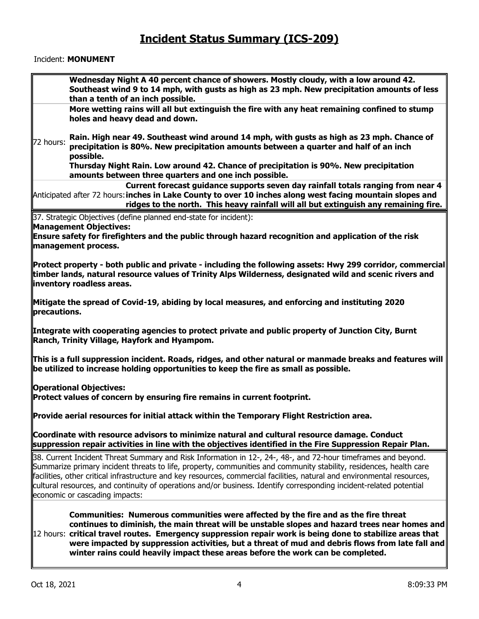#### Incident: **MONUMENT**

| Wednesday Night A 40 percent chance of showers. Mostly cloudy, with a low around 42.                                                                                                                                                                                                                                                                                                                                                                                                                                     |
|--------------------------------------------------------------------------------------------------------------------------------------------------------------------------------------------------------------------------------------------------------------------------------------------------------------------------------------------------------------------------------------------------------------------------------------------------------------------------------------------------------------------------|
| Southeast wind 9 to 14 mph, with gusts as high as 23 mph. New precipitation amounts of less                                                                                                                                                                                                                                                                                                                                                                                                                              |
| than a tenth of an inch possible.                                                                                                                                                                                                                                                                                                                                                                                                                                                                                        |
| More wetting rains will all but extinguish the fire with any heat remaining confined to stump                                                                                                                                                                                                                                                                                                                                                                                                                            |
| holes and heavy dead and down.                                                                                                                                                                                                                                                                                                                                                                                                                                                                                           |
|                                                                                                                                                                                                                                                                                                                                                                                                                                                                                                                          |
| Rain. High near 49. Southeast wind around 14 mph, with gusts as high as 23 mph. Chance of<br>72 hours:<br>precipitation is 80%. New precipitation amounts between a quarter and half of an inch<br>possible.                                                                                                                                                                                                                                                                                                             |
| Thursday Night Rain. Low around 42. Chance of precipitation is 90%. New precipitation<br>amounts between three quarters and one inch possible.                                                                                                                                                                                                                                                                                                                                                                           |
| Current forecast guidance supports seven day rainfall totals ranging from near 4<br>$\parallel$ Anticipated after 72 hours: inches in Lake County to over 10 inches along west facing mountain slopes and<br>ridges to the north. This heavy rainfall will all but extinguish any remaining fire.                                                                                                                                                                                                                        |
| 37. Strategic Objectives (define planned end-state for incident):                                                                                                                                                                                                                                                                                                                                                                                                                                                        |
| <b>Management Objectives:</b>                                                                                                                                                                                                                                                                                                                                                                                                                                                                                            |
| Ensure safety for firefighters and the public through hazard recognition and application of the risk<br>management process.                                                                                                                                                                                                                                                                                                                                                                                              |
| Protect property - both public and private - including the following assets: Hwy 299 corridor, commercial<br>timber lands, natural resource values of Trinity Alps Wilderness, designated wild and scenic rivers and<br>inventory roadless areas.                                                                                                                                                                                                                                                                        |
| Mitigate the spread of Covid-19, abiding by local measures, and enforcing and instituting 2020<br>precautions.                                                                                                                                                                                                                                                                                                                                                                                                           |
| Integrate with cooperating agencies to protect private and public property of Junction City, Burnt<br>Ranch, Trinity Village, Hayfork and Hyampom.                                                                                                                                                                                                                                                                                                                                                                       |
| $\ $ This is a full suppression incident. Roads, ridges, and other natural or manmade breaks and features will<br>be utilized to increase holding opportunities to keep the fire as small as possible.                                                                                                                                                                                                                                                                                                                   |
| <b>Operational Objectives:</b><br>Protect values of concern by ensuring fire remains in current footprint.                                                                                                                                                                                                                                                                                                                                                                                                               |
| $\mathsf{\mathsf{P}}$ rovide aerial resources for initial attack within the Temporary Flight Restriction area.                                                                                                                                                                                                                                                                                                                                                                                                           |
| Coordinate with resource advisors to minimize natural and cultural resource damage. Conduct<br>$ $ suppression repair activities in line with the objectives identified in the Fire Suppression Repair Plan.                                                                                                                                                                                                                                                                                                             |
| 38. Current Incident Threat Summary and Risk Information in 12-, 24-, 48-, and 72-hour timeframes and beyond.<br>Summarize primary incident threats to life, property, communities and community stability, residences, health care<br>facilities, other critical infrastructure and key resources, commercial facilities, natural and environmental resources,<br>cultural resources, and continuity of operations and/or business. Identify corresponding incident-related potential<br>economic or cascading impacts: |
| Communities: Numerous communities were affected by the fire and as the fire threat<br>continues to diminish, the main threat will be unstable slopes and hazard trees near homes and<br>$ 12$ hours: critical travel routes. Emergency suppression repair work is being done to stabilize areas that<br>were impacted by suppression activities, but a threat of mud and debris flows from late fall and<br>winter rains could heavily impact these areas before the work can be completed.                              |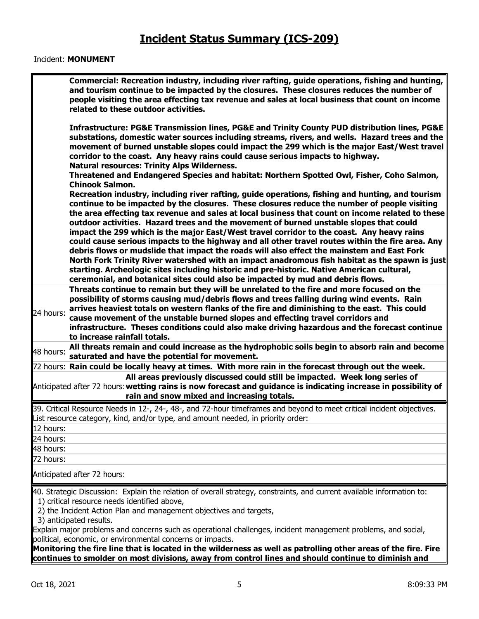#### Incident: **MONUMENT**

|                        | Commercial: Recreation industry, including river rafting, guide operations, fishing and hunting,<br>and tourism continue to be impacted by the closures. These closures reduces the number of<br>people visiting the area effecting tax revenue and sales at local business that count on income<br>related to these outdoor activities.                                                                                                                                                                                                                                                                                                                                                                                                                                                                                                                                                                                                                                         |
|------------------------|----------------------------------------------------------------------------------------------------------------------------------------------------------------------------------------------------------------------------------------------------------------------------------------------------------------------------------------------------------------------------------------------------------------------------------------------------------------------------------------------------------------------------------------------------------------------------------------------------------------------------------------------------------------------------------------------------------------------------------------------------------------------------------------------------------------------------------------------------------------------------------------------------------------------------------------------------------------------------------|
|                        | Infrastructure: PG&E Transmission lines, PG&E and Trinity County PUD distribution lines, PG&E<br>substations, domestic water sources including streams, rivers, and wells. Hazard trees and the<br>movement of burned unstable slopes could impact the 299 which is the major East/West travel<br>corridor to the coast. Any heavy rains could cause serious impacts to highway.<br><b>Natural resources: Trinity Alps Wilderness.</b>                                                                                                                                                                                                                                                                                                                                                                                                                                                                                                                                           |
|                        | Threatened and Endangered Species and habitat: Northern Spotted Owl, Fisher, Coho Salmon,<br><b>Chinook Salmon.</b>                                                                                                                                                                                                                                                                                                                                                                                                                                                                                                                                                                                                                                                                                                                                                                                                                                                              |
|                        | Recreation industry, including river rafting, guide operations, fishing and hunting, and tourism<br>continue to be impacted by the closures. These closures reduce the number of people visiting<br>the area effecting tax revenue and sales at local business that count on income related to these<br>outdoor activities. Hazard trees and the movement of burned unstable slopes that could<br>impact the 299 which is the major East/West travel corridor to the coast. Any heavy rains<br>could cause serious impacts to the highway and all other travel routes within the fire area. Any<br>debris flows or mudslide that impact the roads will also effect the mainstem and East Fork<br>North Fork Trinity River watershed with an impact anadromous fish habitat as the spawn is just<br>starting. Archeologic sites including historic and pre-historic. Native American cultural,<br>ceremonial, and botanical sites could also be impacted by mud and debris flows. |
| 24 hours:              | Threats continue to remain but they will be unrelated to the fire and more focused on the<br>possibility of storms causing mud/debris flows and trees falling during wind events. Rain<br>arrives heaviest totals on western flanks of the fire and diminishing to the east. This could<br>cause movement of the unstable burned slopes and effecting travel corridors and<br>infrastructure. Theses conditions could also make driving hazardous and the forecast continue<br>to increase rainfall totals.                                                                                                                                                                                                                                                                                                                                                                                                                                                                      |
| 48 hours:              | All threats remain and could increase as the hydrophobic soils begin to absorb rain and become<br>saturated and have the potential for movement.                                                                                                                                                                                                                                                                                                                                                                                                                                                                                                                                                                                                                                                                                                                                                                                                                                 |
|                        | 72 hours: Rain could be locally heavy at times. With more rain in the forecast through out the week.                                                                                                                                                                                                                                                                                                                                                                                                                                                                                                                                                                                                                                                                                                                                                                                                                                                                             |
|                        | All areas previously discussed could still be impacted. Week long series of<br>Anticipated after 72 hours: wetting rains is now forecast and guidance is indicating increase in possibility of<br>rain and snow mixed and increasing totals.                                                                                                                                                                                                                                                                                                                                                                                                                                                                                                                                                                                                                                                                                                                                     |
|                        | 39. Critical Resource Needs in 12-, 24-, 48-, and 72-hour timeframes and beyond to meet critical incident objectives.<br>List resource category, kind, and/or type, and amount needed, in priority order:                                                                                                                                                                                                                                                                                                                                                                                                                                                                                                                                                                                                                                                                                                                                                                        |
| 12 hours:<br>24 hours: |                                                                                                                                                                                                                                                                                                                                                                                                                                                                                                                                                                                                                                                                                                                                                                                                                                                                                                                                                                                  |
| 48 hours:              |                                                                                                                                                                                                                                                                                                                                                                                                                                                                                                                                                                                                                                                                                                                                                                                                                                                                                                                                                                                  |
| 72 hours:              |                                                                                                                                                                                                                                                                                                                                                                                                                                                                                                                                                                                                                                                                                                                                                                                                                                                                                                                                                                                  |
|                        | Anticipated after 72 hours:                                                                                                                                                                                                                                                                                                                                                                                                                                                                                                                                                                                                                                                                                                                                                                                                                                                                                                                                                      |
|                        | 40. Strategic Discussion: Explain the relation of overall strategy, constraints, and current available information to:<br>1) critical resource needs identified above,                                                                                                                                                                                                                                                                                                                                                                                                                                                                                                                                                                                                                                                                                                                                                                                                           |
|                        | 2) the Incident Action Plan and management objectives and targets,<br>3) anticipated results.                                                                                                                                                                                                                                                                                                                                                                                                                                                                                                                                                                                                                                                                                                                                                                                                                                                                                    |
|                        | Explain major problems and concerns such as operational challenges, incident management problems, and social,                                                                                                                                                                                                                                                                                                                                                                                                                                                                                                                                                                                                                                                                                                                                                                                                                                                                    |
|                        | political, economic, or environmental concerns or impacts.                                                                                                                                                                                                                                                                                                                                                                                                                                                                                                                                                                                                                                                                                                                                                                                                                                                                                                                       |
|                        | Monitoring the fire line that is located in the wilderness as well as patrolling other areas of the fire. Fire<br>continues to smolder on most divisions, away from control lines and should continue to diminish and                                                                                                                                                                                                                                                                                                                                                                                                                                                                                                                                                                                                                                                                                                                                                            |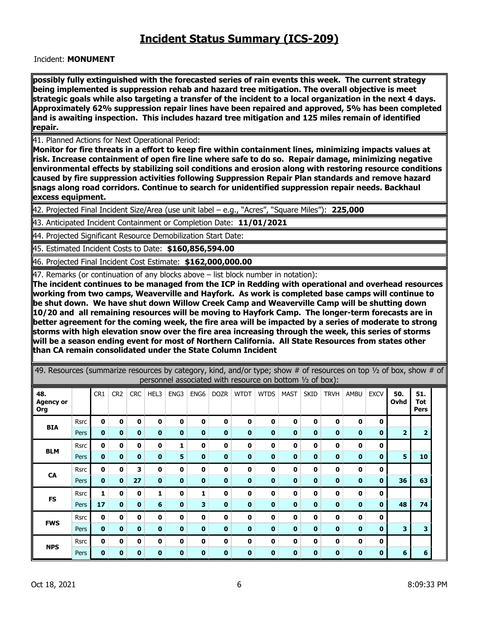Incident: **MONUMENT**

**possibly fully extinguished with the forecasted series of rain events this week. The current strategy being implemented is suppression rehab and hazard tree mitigation. The overall objective is meet strategic goals while also targeting a transfer of the incident to a local organization in the next 4 days. Approximately 62% suppression repair lines have been repaired and approved, 5% has been completed and is awaiting inspection. This includes hazard tree mitigation and 125 miles remain of identified repair.** 

41. Planned Actions for Next Operational Period:

**Monitor for fire threats in a effort to keep fire within containment lines, minimizing impacts values at risk. Increase containment of open fire line where safe to do so. Repair damage, minimizing negative environmental effects by stabilizing soil conditions and erosion along with restoring resource conditions caused by fire suppression activities following Suppression Repair Plan standards and remove hazard snags along road corridors. Continue to search for unidentified suppression repair needs. Backhaul excess equipment.** 

42. Projected Final Incident Size/Area (use unit label – e.g., "Acres", "Square Miles"): **225,000**

43. Anticipated Incident Containment or Completion Date: **11/01/2021**

44. Projected Significant Resource Demobilization Start Date:

45. Estimated Incident Costs to Date: **\$160,856,594.00**

46. Projected Final Incident Cost Estimate: **\$162,000,000.00**

47. Remarks (or continuation of any blocks above – list block number in notation):

**The incident continues to be managed from the ICP in Redding with operational and overhead resources working from two camps, Weaverville and Hayfork. As work is completed base camps will continue to be shut down. We have shut down Willow Creek Camp and Weaverville Camp will be shutting down 10/20 and all remaining resources will be moving to Hayfork Camp. The longer-term forecasts are in better agreement for the coming week, the fire area will be impacted by a series of moderate to strong storms with high elevation snow over the fire area increasing through the week, this series of storms will be a season ending event for most of Northern California. All State Resources from states other than CA remain consolidated under the State Column Incident**

| 49. Resources (summarize resources by category, kind, and/or type; show # of resources on top $\frac{1}{2}$ of box, show # of |             |                 |                 |            |              |              |              |              | personnel associated with resource on bottom 1/2 of box): |              |             |             |              |          |              |                |                    |  |
|-------------------------------------------------------------------------------------------------------------------------------|-------------|-----------------|-----------------|------------|--------------|--------------|--------------|--------------|-----------------------------------------------------------|--------------|-------------|-------------|--------------|----------|--------------|----------------|--------------------|--|
| 48.<br><b>Agency or</b><br>Org                                                                                                |             | CR <sub>1</sub> | CR <sub>2</sub> | <b>CRC</b> | HEL3         | ENG3         | ENG6         | <b>DOZR</b>  | <b>WTDT</b>                                               | <b>WTDS</b>  | <b>MAST</b> | <b>SKID</b> | <b>TRVH</b>  | AMBU     | <b>EXCV</b>  | 50.<br>Ovhd    | 51.<br>Tot<br>Pers |  |
| <b>BIA</b>                                                                                                                    | <b>Rsrc</b> | U               | 0               | 0          | 0            | n            | 0            | n            | U                                                         | U            | 0           | 0           | 0            | 0        | Ω            |                |                    |  |
|                                                                                                                               | Pers        | $\bf{0}$        | 0               | 0          | <sup>0</sup> | <sup>0</sup> | 0            | <sup>0</sup> | O                                                         | 0            | 0           | n           | 0            | 0        | O            | $\overline{2}$ | 2                  |  |
| <b>BLM</b>                                                                                                                    | <b>Rsrc</b> | <sup>0</sup>    | $\mathbf{0}$    | 0          | 0            | 1            | $\mathbf{0}$ | 0            | 0                                                         | $\mathbf{0}$ | $\mathbf o$ | 0           | 0            | 0        | <sup>0</sup> |                |                    |  |
|                                                                                                                               | Pers        | 0               | 0               | 0          | 0            | 5            | $\bf{0}$     | 0            | $\bf{0}$                                                  | $\bf{0}$     | $\bf{0}$    | 0           | $\bf{0}$     | $\bf{0}$ | O            | 5              | 10                 |  |
| <b>CA</b>                                                                                                                     | Rsrc        | 0               | 0               | 3          | 0            | 0            | $\mathbf{0}$ | 0            | 0                                                         | 0            | 0           | 0           | 0            | 0        | 0            |                |                    |  |
|                                                                                                                               | Pers        | $\mathbf{0}$    | $\mathbf{0}$    | 27         | $\bf{0}$     | $\bf{0}$     | $\bf{0}$     | $\bf{0}$     | 0                                                         | 0            | $\bf{0}$    | $\bf{0}$    | $\bf{0}$     | $\bf{0}$ | O            | 36             | 63                 |  |
| <b>FS</b>                                                                                                                     | <b>Rsrc</b> |                 | 0               | 0          | 1            | <sup>0</sup> |              | O            | U                                                         | 0            | 0           | 0           | 0            | O        | n            |                |                    |  |
|                                                                                                                               | Pers        | 17              | 0               | 0          | 6            | 0            | 3            | 0            | 0                                                         | 0            | 0           | 0           | 0            | 0        | o            | 48             | 74                 |  |
| <b>FWS</b>                                                                                                                    | Rsrc        | $\mathbf{0}$    | 0               | 0          | 0            | 0            | 0            | 0            | 0                                                         | 0            | 0           | 0           | 0            | 0        | 0            |                |                    |  |
|                                                                                                                               | Pers        | $\bf{0}$        | $\mathbf{0}$    | $\bf{0}$   | $\bf{0}$     | 0            | $\bf{0}$     | 0            | 0                                                         | $\bf{0}$     | $\bf{0}$    | 0           | $\bf{0}$     | 0        | <sup>0</sup> | 3              | 3                  |  |
|                                                                                                                               | Rsrc        | $\mathbf{0}$    | $\mathbf 0$     | 0          | 0            | 0            | $\mathbf{0}$ | $\mathbf o$  | 0                                                         | $\mathbf{0}$ | 0           | 0           | $\mathbf{0}$ | 0        | 0            |                |                    |  |
| <b>NPS</b>                                                                                                                    | Pers        | $\bf{0}$        | 0               | 0          | 0            | 0            | $\bf{0}$     | 0            | 0                                                         | $\bf{0}$     | 0           | 0           | $\bf{0}$     | $\bf{0}$ | 0            | 6              | 6                  |  |